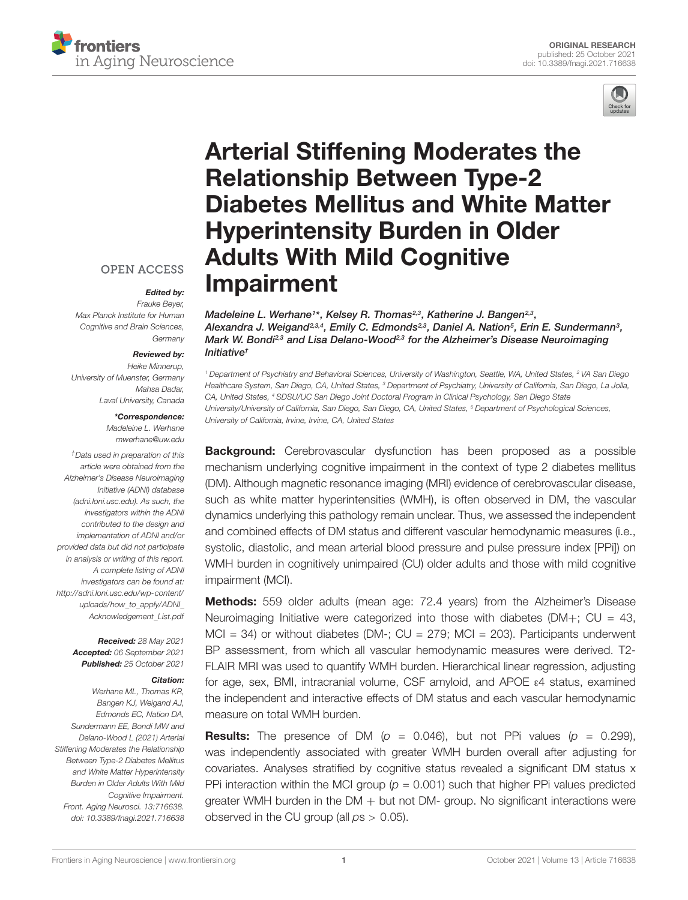



# Arterial Stiffening Moderates the Relationship Between Type-2 [Diabetes Mellitus and White Matter](https://www.frontiersin.org/articles/10.3389/fnagi.2021.716638/full) Hyperintensity Burden in Older Adults With Mild Cognitive Impairment

Madeleine L. Werhane1\*, Kelsey R. Thomas<sup>2,3</sup>, Katherine J. Bangen<sup>2,3</sup>, Alexandra J. Weigand $^{2,3,4}$ , Emily C. Edmonds $^{2,3}$ , Daniel A. Nation $^{5}$ , Erin E. Sundermann $^{3}$ , Mark W. Bondi<sup>2,3</sup> and Lisa Delano-Wood<sup>2,3</sup> for the Alzheimer's Disease Neuroimaging Initiative†

<sup>1</sup> Department of Psychiatry and Behavioral Sciences, University of Washington, Seattle, WA, United States, <sup>2</sup> VA San Diego Healthcare System, San Diego, CA, United States, <sup>3</sup> Department of Psychiatry, University of California, San Diego, La Jolla, CA, United States, <sup>4</sup> SDSU/UC San Diego Joint Doctoral Program in Clinical Psychology, San Diego State University/University of California, San Diego, San Diego, CA, United States, <sup>5</sup> Department of Psychological Sciences, University of California, Irvine, Irvine, CA, United States

**Background:** Cerebrovascular dysfunction has been proposed as a possible mechanism underlying cognitive impairment in the context of type 2 diabetes mellitus (DM). Although magnetic resonance imaging (MRI) evidence of cerebrovascular disease, such as white matter hyperintensities (WMH), is often observed in DM, the vascular dynamics underlying this pathology remain unclear. Thus, we assessed the independent and combined effects of DM status and different vascular hemodynamic measures (i.e., systolic, diastolic, and mean arterial blood pressure and pulse pressure index [PPi]) on WMH burden in cognitively unimpaired (CU) older adults and those with mild cognitive impairment (MCI).

Methods: 559 older adults (mean age: 72.4 years) from the Alzheimer's Disease Neuroimaging Initiative were categorized into those with diabetes  $(DM+)$ ; CU = 43,  $MCI = 34$ ) or without diabetes ( $DM -$ ;  $CU = 279$ ;  $MCI = 203$ ). Participants underwent BP assessment, from which all vascular hemodynamic measures were derived. T2- FLAIR MRI was used to quantify WMH burden. Hierarchical linear regression, adjusting for age, sex, BMI, intracranial volume, CSF amyloid, and APOE ε4 status, examined the independent and interactive effects of DM status and each vascular hemodynamic measure on total WMH burden.

**Results:** The presence of DM ( $p = 0.046$ ), but not PPi values ( $p = 0.299$ ), was independently associated with greater WMH burden overall after adjusting for covariates. Analyses stratified by cognitive status revealed a significant DM status x PPi interaction within the MCI group ( $p = 0.001$ ) such that higher PPi values predicted greater WMH burden in the  $DM +$  but not  $DM -$  group. No significant interactions were observed in the CU group (all  $ps > 0.05$ ).

**OPEN ACCESS** 

### Edited by:

Frauke Beyer, Max Planck Institute for Human Cognitive and Brain Sciences, **Germany** 

#### Reviewed by:

Heike Minnerup, University of Muenster, Germany Mahsa Dadar, Laval University, Canada

### \*Correspondence:

Madeleine L. Werhane mwerhane@uw.edu

†Data used in preparation of this article were obtained from the Alzheimer's Disease Neuroimaging Initiative (ADNI) database [\(adni.loni.usc.edu\)](http://adni.loni.usc.edu). As such, the investigators within the ADNI contributed to the design and implementation of ADNI and/or provided data but did not participate in analysis or writing of this report. A complete listing of ADNI investigators can be found at: [http://adni.loni.usc.edu/wp-content/](http://adni.loni.usc.edu/wp-content/uploads/how_to_apply/ADNI_Acknowledgement_List.pdf) [uploads/how\\_to\\_apply/ADNI\\_](http://adni.loni.usc.edu/wp-content/uploads/how_to_apply/ADNI_Acknowledgement_List.pdf) [Acknowledgement\\_List.pdf](http://adni.loni.usc.edu/wp-content/uploads/how_to_apply/ADNI_Acknowledgement_List.pdf)

> Received: 28 May 2021 Accepted: 06 September 2021 Published: 25 October 2021

### Citation:

Werhane ML, Thomas KR, Bangen KJ, Weigand AJ, Edmonds EC, Nation DA, Sundermann EE, Bondi MW and Delano-Wood L (2021) Arterial Stiffening Moderates the Relationship Between Type-2 Diabetes Mellitus and White Matter Hyperintensity Burden in Older Adults With Mild Cognitive Impairment. Front. Aging Neurosci. 13:716638. doi: [10.3389/fnagi.2021.716638](https://doi.org/10.3389/fnagi.2021.716638)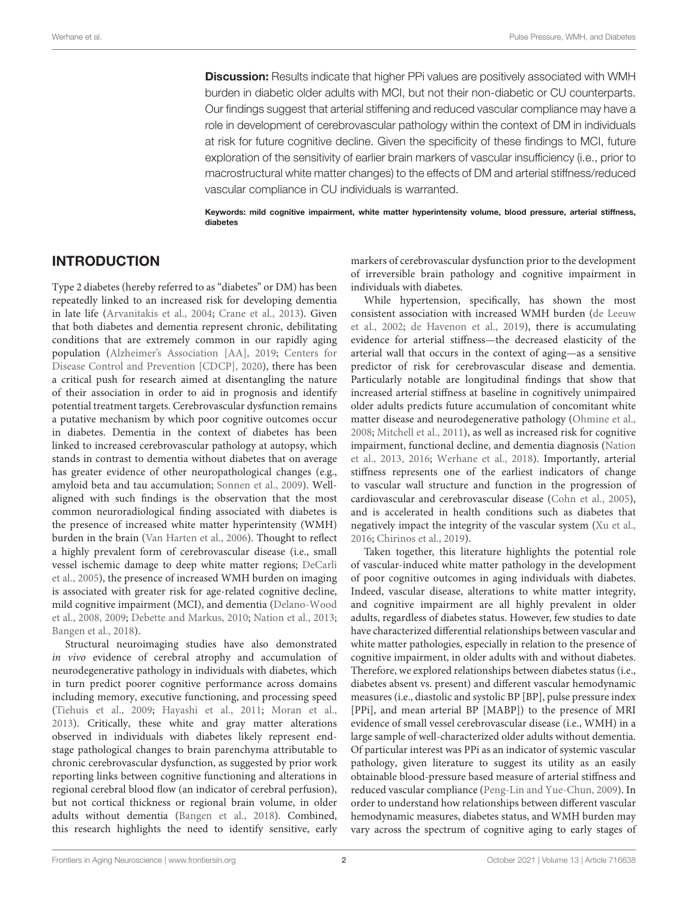**Discussion:** Results indicate that higher PPi values are positively associated with WMH burden in diabetic older adults with MCI, but not their non-diabetic or CU counterparts. Our findings suggest that arterial stiffening and reduced vascular compliance may have a role in development of cerebrovascular pathology within the context of DM in individuals at risk for future cognitive decline. Given the specificity of these findings to MCI, future exploration of the sensitivity of earlier brain markers of vascular insufficiency (i.e., prior to macrostructural white matter changes) to the effects of DM and arterial stiffness/reduced vascular compliance in CU individuals is warranted.

Keywords: mild cognitive impairment, white matter hyperintensity volume, blood pressure, arterial stiffness, diabetes

### INTRODUCTION

Type 2 diabetes (hereby referred to as "diabetes" or DM) has been repeatedly linked to an increased risk for developing dementia in late life [\(Arvanitakis et al.,](#page-9-0) [2004;](#page-9-0) [Crane et al.,](#page-10-0) [2013\)](#page-10-0). Given that both diabetes and dementia represent chronic, debilitating conditions that are extremely common in our rapidly aging population [\(Alzheimer's Association \[AA\],](#page-9-1) [2019;](#page-9-1) [Centers for](#page-10-1) [Disease Control and Prevention \[CDCP\],](#page-10-1) [2020\)](#page-10-1), there has been a critical push for research aimed at disentangling the nature of their association in order to aid in prognosis and identify potential treatment targets. Cerebrovascular dysfunction remains a putative mechanism by which poor cognitive outcomes occur in diabetes. Dementia in the context of diabetes has been linked to increased cerebrovascular pathology at autopsy, which stands in contrast to dementia without diabetes that on average has greater evidence of other neuropathological changes (e.g., amyloid beta and tau accumulation; [Sonnen et al.,](#page-11-0) [2009\)](#page-11-0). Wellaligned with such findings is the observation that the most common neuroradiological finding associated with diabetes is the presence of increased white matter hyperintensity (WMH) burden in the brain [\(Van Harten et al.,](#page-11-1) [2006\)](#page-11-1). Thought to reflect a highly prevalent form of cerebrovascular disease (i.e., small vessel ischemic damage to deep white matter regions; [DeCarli](#page-10-2) [et al.,](#page-10-2) [2005\)](#page-10-2), the presence of increased WMH burden on imaging is associated with greater risk for age-related cognitive decline, mild cognitive impairment (MCI), and dementia [\(Delano-Wood](#page-10-3) [et al.,](#page-10-3) [2008,](#page-10-3) [2009;](#page-10-4) [Debette and Markus,](#page-10-5) [2010;](#page-10-5) [Nation et al.,](#page-10-6) [2013;](#page-10-6) [Bangen et al.,](#page-10-7) [2018\)](#page-10-7).

Structural neuroimaging studies have also demonstrated in vivo evidence of cerebral atrophy and accumulation of neurodegenerative pathology in individuals with diabetes, which in turn predict poorer cognitive performance across domains including memory, executive functioning, and processing speed [\(Tiehuis et al.,](#page-11-2) [2009;](#page-11-2) [Hayashi et al.,](#page-10-8) [2011;](#page-10-8) [Moran et al.,](#page-10-9) [2013\)](#page-10-9). Critically, these white and gray matter alterations observed in individuals with diabetes likely represent endstage pathological changes to brain parenchyma attributable to chronic cerebrovascular dysfunction, as suggested by prior work reporting links between cognitive functioning and alterations in regional cerebral blood flow (an indicator of cerebral perfusion), but not cortical thickness or regional brain volume, in older adults without dementia [\(Bangen et al.,](#page-10-7) [2018\)](#page-10-7). Combined, this research highlights the need to identify sensitive, early

markers of cerebrovascular dysfunction prior to the development of irreversible brain pathology and cognitive impairment in individuals with diabetes.

While hypertension, specifically, has shown the most consistent association with increased WMH burden [\(de Leeuw](#page-10-10) [et al.,](#page-10-10) [2002;](#page-10-10) [de Havenon et al.,](#page-10-11) [2019\)](#page-10-11), there is accumulating evidence for arterial stiffness—the decreased elasticity of the arterial wall that occurs in the context of aging—as a sensitive predictor of risk for cerebrovascular disease and dementia. Particularly notable are longitudinal findings that show that increased arterial stiffness at baseline in cognitively unimpaired older adults predicts future accumulation of concomitant white matter disease and neurodegenerative pathology [\(Ohmine et al.,](#page-10-12) [2008;](#page-10-12) [Mitchell et al.,](#page-10-13) [2011\)](#page-10-13), as well as increased risk for cognitive impairment, functional decline, and dementia diagnosis [\(Nation](#page-10-6) [et al.,](#page-10-6) [2013,](#page-10-6) [2016;](#page-10-14) [Werhane et al.,](#page-11-3) [2018\)](#page-11-3). Importantly, arterial stiffness represents one of the earliest indicators of change to vascular wall structure and function in the progression of cardiovascular and cerebrovascular disease [\(Cohn et al.,](#page-10-15) [2005\)](#page-10-15), and is accelerated in health conditions such as diabetes that negatively impact the integrity of the vascular system [\(Xu et al.,](#page-11-4) [2016;](#page-11-4) [Chirinos et al.,](#page-10-16) [2019\)](#page-10-16).

Taken together, this literature highlights the potential role of vascular-induced white matter pathology in the development of poor cognitive outcomes in aging individuals with diabetes. Indeed, vascular disease, alterations to white matter integrity, and cognitive impairment are all highly prevalent in older adults, regardless of diabetes status. However, few studies to date have characterized differential relationships between vascular and white matter pathologies, especially in relation to the presence of cognitive impairment, in older adults with and without diabetes. Therefore, we explored relationships between diabetes status (i.e., diabetes absent vs. present) and different vascular hemodynamic measures (i.e., diastolic and systolic BP [BP], pulse pressure index [PPi], and mean arterial BP [MABP]) to the presence of MRI evidence of small vessel cerebrovascular disease (i.e., WMH) in a large sample of well-characterized older adults without dementia. Of particular interest was PPi as an indicator of systemic vascular pathology, given literature to suggest its utility as an easily obtainable blood-pressure based measure of arterial stiffness and reduced vascular compliance [\(Peng-Lin and Yue-Chun,](#page-10-17) [2009\)](#page-10-17). In order to understand how relationships between different vascular hemodynamic measures, diabetes status, and WMH burden may vary across the spectrum of cognitive aging to early stages of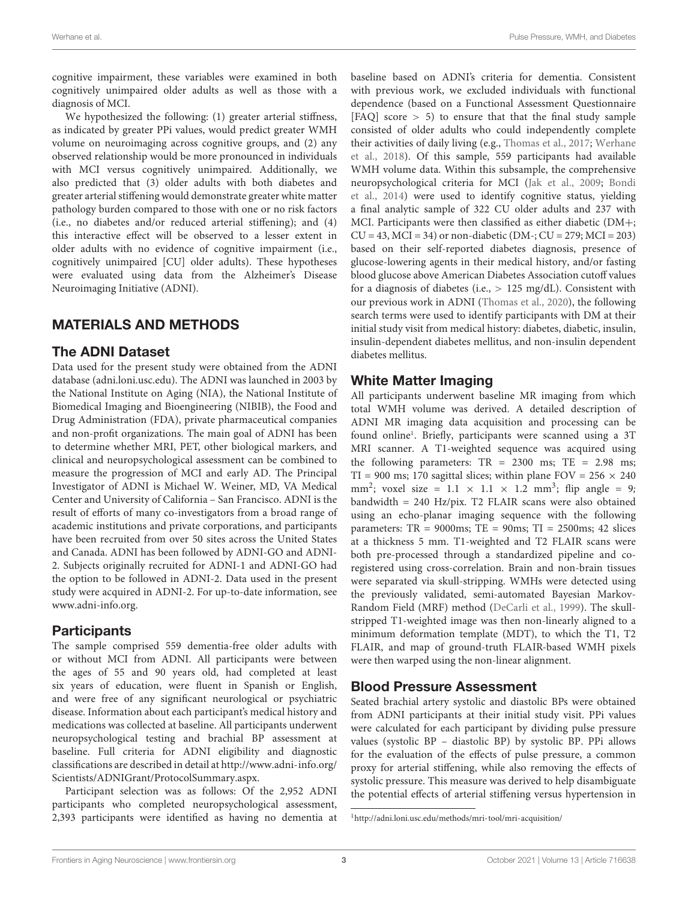cognitive impairment, these variables were examined in both cognitively unimpaired older adults as well as those with a diagnosis of MCI.

We hypothesized the following: (1) greater arterial stiffness, as indicated by greater PPi values, would predict greater WMH volume on neuroimaging across cognitive groups, and (2) any observed relationship would be more pronounced in individuals with MCI versus cognitively unimpaired. Additionally, we also predicted that (3) older adults with both diabetes and greater arterial stiffening would demonstrate greater white matter pathology burden compared to those with one or no risk factors (i.e., no diabetes and/or reduced arterial stiffening); and (4) this interactive effect will be observed to a lesser extent in older adults with no evidence of cognitive impairment (i.e., cognitively unimpaired [CU] older adults). These hypotheses were evaluated using data from the Alzheimer's Disease Neuroimaging Initiative (ADNI).

### MATERIALS AND METHODS

### The ADNI Dataset

Data used for the present study were obtained from the ADNI database [\(adni.loni.usc.edu\)](http://adni.loni.usc.edu). The ADNI was launched in 2003 by the National Institute on Aging (NIA), the National Institute of Biomedical Imaging and Bioengineering (NIBIB), the Food and Drug Administration (FDA), private pharmaceutical companies and non-profit organizations. The main goal of ADNI has been to determine whether MRI, PET, other biological markers, and clinical and neuropsychological assessment can be combined to measure the progression of MCI and early AD. The Principal Investigator of ADNI is Michael W. Weiner, MD, VA Medical Center and University of California – San Francisco. ADNI is the result of efforts of many co-investigators from a broad range of academic institutions and private corporations, and participants have been recruited from over 50 sites across the United States and Canada. ADNI has been followed by ADNI-GO and ADNI-2. Subjects originally recruited for ADNI-1 and ADNI-GO had the option to be followed in ADNI-2. Data used in the present study were acquired in ADNI-2. For up-to-date information, see [www.adni-info.org.](http://www.adni-info.org)

### **Participants**

The sample comprised 559 dementia-free older adults with or without MCI from ADNI. All participants were between the ages of 55 and 90 years old, had completed at least six years of education, were fluent in Spanish or English, and were free of any significant neurological or psychiatric disease. Information about each participant's medical history and medications was collected at baseline. All participants underwent neuropsychological testing and brachial BP assessment at baseline. Full criteria for ADNI eligibility and diagnostic classifications are described in detail at [http://www.adni-info.org/](http://www.adni-info.org/Scientists/ADNIGrant/ProtocolSummary.aspx) [Scientists/ADNIGrant/ProtocolSummary.aspx.](http://www.adni-info.org/Scientists/ADNIGrant/ProtocolSummary.aspx)

Participant selection was as follows: Of the 2,952 ADNI participants who completed neuropsychological assessment, 2,393 participants were identified as having no dementia at baseline based on ADNI's criteria for dementia. Consistent with previous work, we excluded individuals with functional dependence (based on a Functional Assessment Questionnaire [FAQ] score  $> 5$ ] to ensure that that the final study sample consisted of older adults who could independently complete their activities of daily living (e.g., [Thomas et al.,](#page-11-5) [2017;](#page-11-5) [Werhane](#page-11-3) [et al.,](#page-11-3) [2018\)](#page-11-3). Of this sample, 559 participants had available WMH volume data. Within this subsample, the comprehensive neuropsychological criteria for MCI [\(Jak et al.,](#page-10-18) [2009;](#page-10-18) [Bondi](#page-10-19) [et al.,](#page-10-19) [2014\)](#page-10-19) were used to identify cognitive status, yielding a final analytic sample of 322 CU older adults and 237 with MCI. Participants were then classified as either diabetic (DM+;  $CU = 43$ ,  $MCI = 34$ ) or non-diabetic ( $DM -$ ;  $CU = 279$ ;  $MCI = 203$ ) based on their self-reported diabetes diagnosis, presence of glucose-lowering agents in their medical history, and/or fasting blood glucose above American Diabetes Association cutoff values for a diagnosis of diabetes (i.e., > 125 mg/dL). Consistent with our previous work in ADNI [\(Thomas et al.,](#page-11-6) [2020\)](#page-11-6), the following search terms were used to identify participants with DM at their initial study visit from medical history: diabetes, diabetic, insulin, insulin-dependent diabetes mellitus, and non-insulin dependent diabetes mellitus.

### White Matter Imaging

All participants underwent baseline MR imaging from which total WMH volume was derived. A detailed description of ADNI MR imaging data acquisition and processing can be found online<sup>[1](#page-2-0)</sup>. Briefly, participants were scanned using a 3T MRI scanner. A T1-weighted sequence was acquired using the following parameters:  $TR = 2300$  ms;  $TE = 2.98$  ms; TI = 900 ms; 170 sagittal slices; within plane FOV =  $256 \times 240$ mm<sup>2</sup>; voxel size =  $1.1 \times 1.1 \times 1.2$  mm<sup>3</sup>; flip angle = 9; bandwidth = 240 Hz/pix. T2 FLAIR scans were also obtained using an echo-planar imaging sequence with the following parameters:  $TR = 9000ms$ ;  $TE = 90ms$ ;  $TI = 2500ms$ ;  $42$  slices at a thickness 5 mm. T1-weighted and T2 FLAIR scans were both pre-processed through a standardized pipeline and coregistered using cross-correlation. Brain and non-brain tissues were separated via skull-stripping. WMHs were detected using the previously validated, semi-automated Bayesian Markov-Random Field (MRF) method [\(DeCarli et al.,](#page-10-20) [1999\)](#page-10-20). The skullstripped T1-weighted image was then non-linearly aligned to a minimum deformation template (MDT), to which the T1, T2 FLAIR, and map of ground-truth FLAIR-based WMH pixels were then warped using the non-linear alignment.

### Blood Pressure Assessment

Seated brachial artery systolic and diastolic BPs were obtained from ADNI participants at their initial study visit. PPi values were calculated for each participant by dividing pulse pressure values (systolic BP – diastolic BP) by systolic BP. PPi allows for the evaluation of the effects of pulse pressure, a common proxy for arterial stiffening, while also removing the effects of systolic pressure. This measure was derived to help disambiguate the potential effects of arterial stiffening versus hypertension in

<span id="page-2-0"></span><sup>1</sup><http://adni.loni.usc.edu/methods/mri-tool/mri-acquisition/>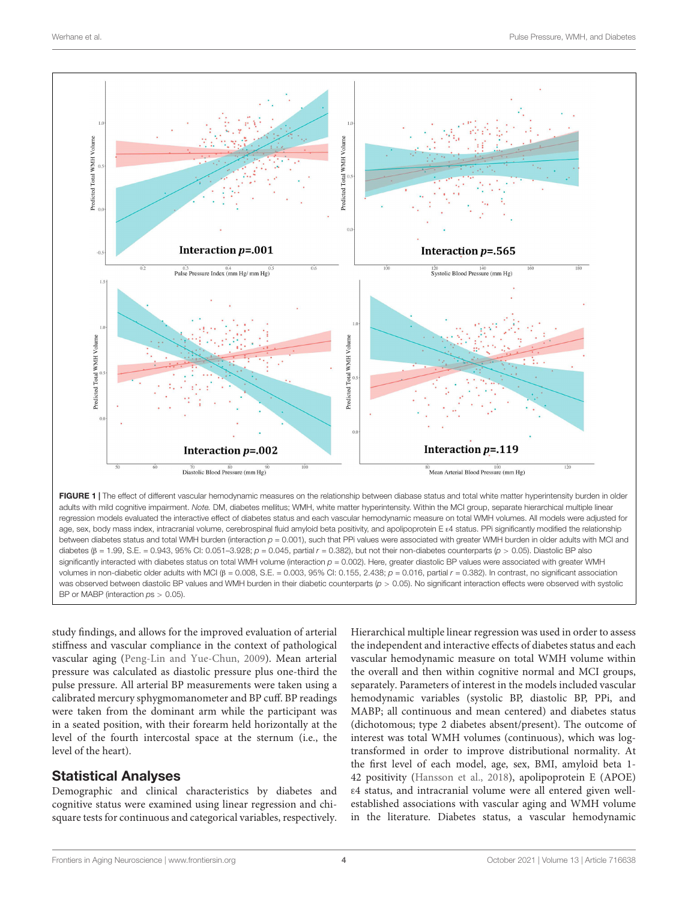

study findings, and allows for the improved evaluation of arterial stiffness and vascular compliance in the context of pathological vascular aging [\(Peng-Lin and Yue-Chun,](#page-10-17) [2009\)](#page-10-17). Mean arterial pressure was calculated as diastolic pressure plus one-third the pulse pressure. All arterial BP measurements were taken using a calibrated mercury sphygmomanometer and BP cuff. BP readings were taken from the dominant arm while the participant was in a seated position, with their forearm held horizontally at the level of the fourth intercostal space at the sternum (i.e., the level of the heart).

### Statistical Analyses

<span id="page-3-0"></span>BP or MABP (interaction  $ps > 0.05$ ).

Demographic and clinical characteristics by diabetes and cognitive status were examined using linear regression and chisquare tests for continuous and categorical variables, respectively. Hierarchical multiple linear regression was used in order to assess the independent and interactive effects of diabetes status and each vascular hemodynamic measure on total WMH volume within the overall and then within cognitive normal and MCI groups, separately. Parameters of interest in the models included vascular hemodynamic variables (systolic BP, diastolic BP, PPi, and MABP; all continuous and mean centered) and diabetes status (dichotomous; type 2 diabetes absent/present). The outcome of interest was total WMH volumes (continuous), which was logtransformed in order to improve distributional normality. At the first level of each model, age, sex, BMI, amyloid beta 1- 42 positivity [\(Hansson et al.,](#page-10-21) [2018\)](#page-10-21), apolipoprotein E (APOE) ε4 status, and intracranial volume were all entered given wellestablished associations with vascular aging and WMH volume in the literature. Diabetes status, a vascular hemodynamic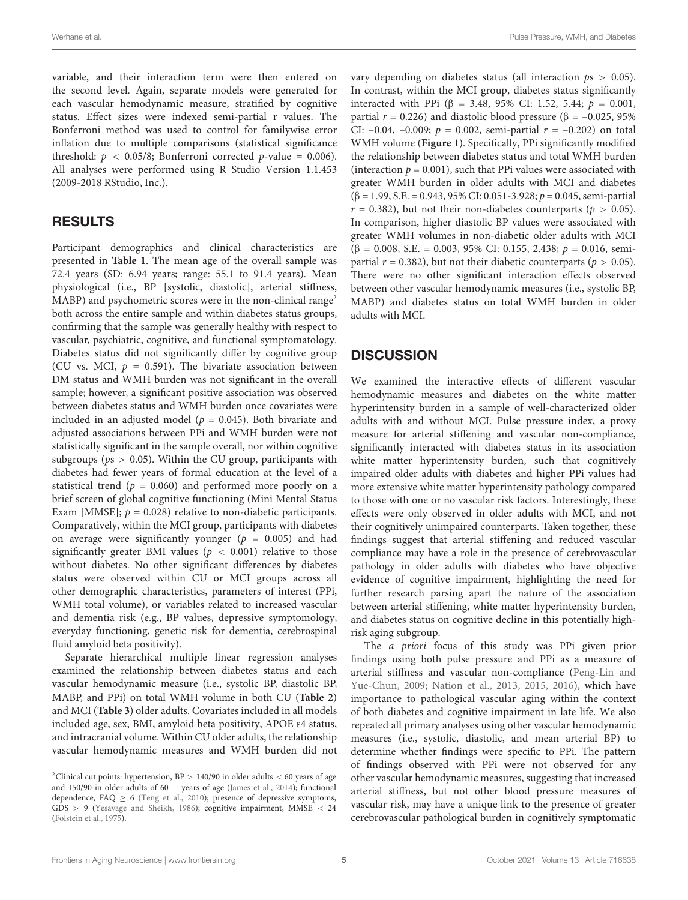variable, and their interaction term were then entered on the second level. Again, separate models were generated for each vascular hemodynamic measure, stratified by cognitive status. Effect sizes were indexed semi-partial r values. The Bonferroni method was used to control for familywise error inflation due to multiple comparisons (statistical significance threshold:  $p < 0.05/8$ ; Bonferroni corrected p-value = 0.006). All analyses were performed using R Studio Version 1.1.453 (2009-2018 RStudio, Inc.).

### RESULTS

Participant demographics and clinical characteristics are presented in **[Table 1](#page-5-0)**. The mean age of the overall sample was 72.4 years (SD: 6.94 years; range: 55.1 to 91.4 years). Mean physiological (i.e., BP [systolic, diastolic], arterial stiffness,  $MABP$ ) and psychometric scores were in the non-clinical range<sup>[2](#page-4-0)</sup> both across the entire sample and within diabetes status groups, confirming that the sample was generally healthy with respect to vascular, psychiatric, cognitive, and functional symptomatology. Diabetes status did not significantly differ by cognitive group (CU vs. MCI,  $p = 0.591$ ). The bivariate association between DM status and WMH burden was not significant in the overall sample; however, a significant positive association was observed between diabetes status and WMH burden once covariates were included in an adjusted model ( $p = 0.045$ ). Both bivariate and adjusted associations between PPi and WMH burden were not statistically significant in the sample overall, nor within cognitive subgroups ( $ps > 0.05$ ). Within the CU group, participants with diabetes had fewer years of formal education at the level of a statistical trend ( $p = 0.060$ ) and performed more poorly on a brief screen of global cognitive functioning (Mini Mental Status Exam [MMSE];  $p = 0.028$ ) relative to non-diabetic participants. Comparatively, within the MCI group, participants with diabetes on average were significantly younger ( $p = 0.005$ ) and had significantly greater BMI values ( $p < 0.001$ ) relative to those without diabetes. No other significant differences by diabetes status were observed within CU or MCI groups across all other demographic characteristics, parameters of interest (PPi, WMH total volume), or variables related to increased vascular and dementia risk (e.g., BP values, depressive symptomology, everyday functioning, genetic risk for dementia, cerebrospinal fluid amyloid beta positivity).

Separate hierarchical multiple linear regression analyses examined the relationship between diabetes status and each vascular hemodynamic measure (i.e., systolic BP, diastolic BP, MABP, and PPi) on total WMH volume in both CU (**[Table 2](#page-6-0)**) and MCI (**[Table 3](#page-7-0)**) older adults. Covariates included in all models included age, sex, BMI, amyloid beta positivity, APOE ε4 status, and intracranial volume. Within CU older adults, the relationship vascular hemodynamic measures and WMH burden did not vary depending on diabetes status (all interaction  $ps > 0.05$ ). In contrast, within the MCI group, diabetes status significantly interacted with PPi (β = 3.48, 95% CI: 1.52, 5.44;  $p = 0.001$ , partial  $r = 0.226$ ) and diastolic blood pressure ( $\beta = -0.025, 95\%$ ) CI:  $-0.04$ ,  $-0.009$ ;  $p = 0.002$ , semi-partial  $r = -0.202$ ) on total WMH volume (**[Figure 1](#page-3-0)**). Specifically, PPi significantly modified the relationship between diabetes status and total WMH burden (interaction  $p = 0.001$ ), such that PPi values were associated with greater WMH burden in older adults with MCI and diabetes (β = 1.99, S.E. = 0.943, 95% CI: 0.051-3.928; p = 0.045, semi-partial  $r = 0.382$ ), but not their non-diabetes counterparts ( $p > 0.05$ ). In comparison, higher diastolic BP values were associated with greater WMH volumes in non-diabetic older adults with MCI  $(\beta = 0.008, S.E. = 0.003, 95\% \text{ CI: } 0.155, 2.438; p = 0.016, \text{ semi-}$ partial  $r = 0.382$ ), but not their diabetic counterparts ( $p > 0.05$ ). There were no other significant interaction effects observed between other vascular hemodynamic measures (i.e., systolic BP, MABP) and diabetes status on total WMH burden in older adults with MCI.

### **DISCUSSION**

We examined the interactive effects of different vascular hemodynamic measures and diabetes on the white matter hyperintensity burden in a sample of well-characterized older adults with and without MCI. Pulse pressure index, a proxy measure for arterial stiffening and vascular non-compliance, significantly interacted with diabetes status in its association white matter hyperintensity burden, such that cognitively impaired older adults with diabetes and higher PPi values had more extensive white matter hyperintensity pathology compared to those with one or no vascular risk factors. Interestingly, these effects were only observed in older adults with MCI, and not their cognitively unimpaired counterparts. Taken together, these findings suggest that arterial stiffening and reduced vascular compliance may have a role in the presence of cerebrovascular pathology in older adults with diabetes who have objective evidence of cognitive impairment, highlighting the need for further research parsing apart the nature of the association between arterial stiffening, white matter hyperintensity burden, and diabetes status on cognitive decline in this potentially highrisk aging subgroup.

The a priori focus of this study was PPi given prior findings using both pulse pressure and PPi as a measure of arterial stiffness and vascular non-compliance [\(Peng-Lin and](#page-10-17) [Yue-Chun,](#page-10-17) [2009;](#page-10-17) [Nation et al.,](#page-10-6) [2013,](#page-10-6) [2015,](#page-10-24) [2016\)](#page-10-14), which have importance to pathological vascular aging within the context of both diabetes and cognitive impairment in late life. We also repeated all primary analyses using other vascular hemodynamic measures (i.e., systolic, diastolic, and mean arterial BP) to determine whether findings were specific to PPi. The pattern of findings observed with PPi were not observed for any other vascular hemodynamic measures, suggesting that increased arterial stiffness, but not other blood pressure measures of vascular risk, may have a unique link to the presence of greater cerebrovascular pathological burden in cognitively symptomatic

<span id="page-4-0"></span><sup>&</sup>lt;sup>2</sup>Clinical cut points: hypertension,  $BP > 140/90$  in older adults < 60 years of age and 150/90 in older adults of  $60 +$  years of age [\(James et al.,](#page-10-22) [2014\)](#page-10-22); functional dependence, FAQ  $\geq$  6 [\(Teng et al.,](#page-11-7) [2010\)](#page-11-7); presence of depressive symptoms, GDS > 9 [\(Yesavage and Sheikh,](#page-11-8) [1986\)](#page-11-8); cognitive impairment, MMSE < 24 [\(Folstein et al.,](#page-10-23) [1975\)](#page-10-23).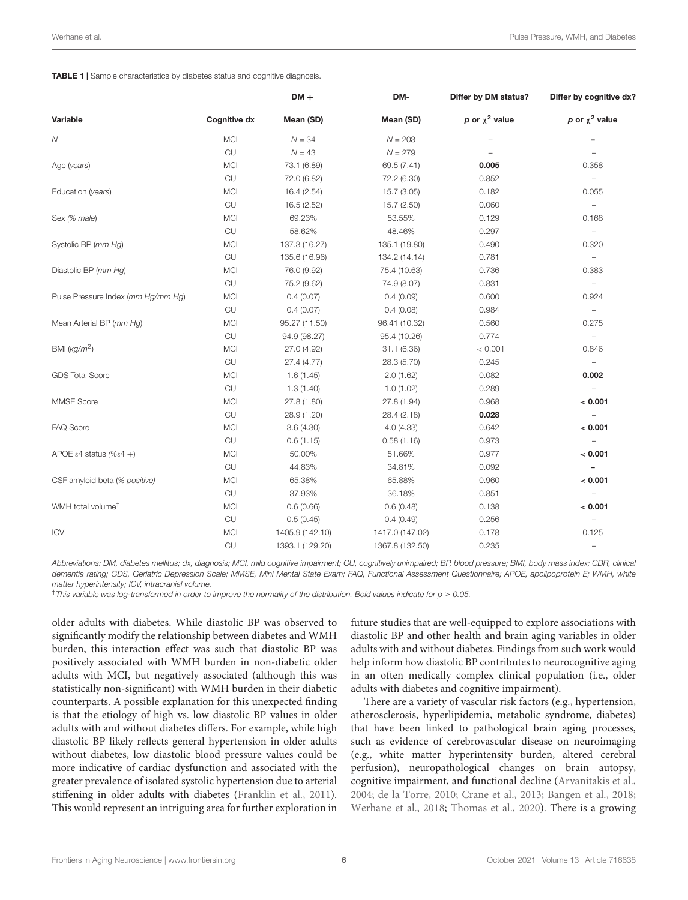<span id="page-5-0"></span>**TABLE 1** | Sample characteristics by diabetes status and cognitive diagnosis.

|                                             |                     | $DM +$          | DM-             | Differ by DM status? | Differ by cognitive dx?  |  |
|---------------------------------------------|---------------------|-----------------|-----------------|----------------------|--------------------------|--|
| Variable                                    | <b>Cognitive dx</b> | Mean (SD)       | Mean (SD)       | p or $\chi^2$ value  | p or $\chi^2$ value      |  |
| Ν                                           | <b>MCI</b>          | $N = 34$        | $N = 203$       |                      |                          |  |
|                                             | CU                  | $N = 43$        | $N = 279$       |                      |                          |  |
| Age (years)                                 | <b>MCI</b>          | 73.1 (6.89)     | 69.5 (7.41)     | 0.005                | 0.358                    |  |
|                                             | CU                  | 72.0 (6.82)     | 72.2 (6.30)     | 0.852                | $\overline{\phantom{a}}$ |  |
| Education (years)                           | <b>MCI</b>          | 16.4 (2.54)     | 15.7 (3.05)     | 0.182                | 0.055                    |  |
|                                             | CU                  | 16.5 (2.52)     | 15.7 (2.50)     | 0.060                | $\overline{\phantom{a}}$ |  |
| Sex (% male)                                | <b>MCI</b>          | 69.23%          | 53.55%          | 0.129                | 0.168                    |  |
|                                             | CU                  | 58.62%          | 48.46%          | 0.297                | $\overline{\phantom{a}}$ |  |
| Systolic BP (mm Hg)                         | <b>MCI</b>          | 137.3 (16.27)   | 135.1 (19.80)   | 0.490                | 0.320                    |  |
|                                             | CU                  | 135.6 (16.96)   | 134.2 (14.14)   | 0.781                | $\overline{\phantom{a}}$ |  |
| Diastolic BP (mm Hg)                        | <b>MCI</b>          | 76.0 (9.92)     | 75.4 (10.63)    | 0.736                | 0.383                    |  |
|                                             | CU                  | 75.2 (9.62)     | 74.9 (8.07)     | 0.831                | $\overline{\phantom{a}}$ |  |
| Pulse Pressure Index (mm Hg/mm Hg)          | <b>MCI</b>          | 0.4(0.07)       | 0.4(0.09)       | 0.600                | 0.924                    |  |
|                                             | CU                  | 0.4(0.07)       | 0.4(0.08)       | 0.984                | $\overline{\phantom{a}}$ |  |
| Mean Arterial BP (mm Hg)                    | <b>MCI</b>          | 95.27 (11.50)   | 96.41 (10.32)   | 0.560                | 0.275                    |  |
|                                             | CU                  | 94.9 (98.27)    | 95.4 (10.26)    | 0.774                | $\overline{\phantom{a}}$ |  |
| BMI $(kg/m^2)$                              | <b>MCI</b>          | 27.0 (4.92)     | 31.1(6.36)      | < 0.001              | 0.846                    |  |
|                                             | CU                  | 27.4 (4.77)     | 28.3 (5.70)     | 0.245                | $\overline{\phantom{a}}$ |  |
| <b>GDS Total Score</b>                      | <b>MCI</b>          | 1.6(1.45)       | 2.0(1.62)       | 0.082                | 0.002                    |  |
|                                             | CU                  | 1.3(1.40)       | 1.0(1.02)       | 0.289                | $\qquad \qquad -$        |  |
| MMSE Score                                  | <b>MCI</b>          | 27.8 (1.80)     | 27.8 (1.94)     | 0.968                | < 0.001                  |  |
|                                             | CU                  | 28.9 (1.20)     | 28.4 (2.18)     | 0.028                | $\qquad \qquad -$        |  |
| <b>FAQ Score</b>                            | <b>MCI</b>          | 3.6(4.30)       | 4.0(4.33)       | 0.642                | < 0.001                  |  |
|                                             | CU                  | 0.6(1.15)       | 0.58(1.16)      | 0.973                | $\qquad \qquad -$        |  |
| APOE $\epsilon$ 4 status (% $\epsilon$ 4 +) | <b>MCI</b>          | 50.00%          | 51.66%          | 0.977                | < 0.001                  |  |
|                                             | CU                  | 44.83%          | 34.81%          | 0.092                | $\overline{\phantom{0}}$ |  |
| CSF amyloid beta (% positive)               | <b>MCI</b>          | 65.38%          | 65.88%          | 0.960                | < 0.001                  |  |
|                                             | CU                  | 37.93%          | 36.18%          | 0.851                | $\overline{\phantom{0}}$ |  |
| WMH total volume <sup>t</sup>               | <b>MCI</b>          | 0.6(0.66)       | 0.6(0.48)       | 0.138                | < 0.001                  |  |
|                                             | CU                  | 0.5(0.45)       | 0.4(0.49)       | 0.256                | $\overline{\phantom{0}}$ |  |
| ICV                                         | <b>MCI</b>          | 1405.9 (142.10) | 1417.0 (147.02) | 0.178                | 0.125                    |  |
|                                             | CU                  | 1393.1 (129.20) | 1367.8 (132.50) | 0.235                | $\qquad \qquad -$        |  |

Abbreviations: DM, diabetes mellitus; dx, diagnosis; MCI, mild cognitive impairment; CU, cognitively unimpaired; BP, blood pressure; BMI, body mass index; CDR, clinical dementia rating; GDS, Geriatric Depression Scale; MMSE, Mini Mental State Exam; FAQ, Functional Assessment Questionnaire; APOE, apolipoprotein E; WMH, white matter hyperintensity; ICV, intracranial volume.

 $\dagger$ This variable was log-transformed in order to improve the normality of the distribution. Bold values indicate for  $p > 0.05$ .

older adults with diabetes. While diastolic BP was observed to significantly modify the relationship between diabetes and WMH burden, this interaction effect was such that diastolic BP was positively associated with WMH burden in non-diabetic older adults with MCI, but negatively associated (although this was statistically non-significant) with WMH burden in their diabetic counterparts. A possible explanation for this unexpected finding is that the etiology of high vs. low diastolic BP values in older adults with and without diabetes differs. For example, while high diastolic BP likely reflects general hypertension in older adults without diabetes, low diastolic blood pressure values could be more indicative of cardiac dysfunction and associated with the greater prevalence of isolated systolic hypertension due to arterial stiffening in older adults with diabetes [\(Franklin et al.,](#page-10-25) [2011\)](#page-10-25). This would represent an intriguing area for further exploration in

future studies that are well-equipped to explore associations with diastolic BP and other health and brain aging variables in older adults with and without diabetes. Findings from such work would help inform how diastolic BP contributes to neurocognitive aging in an often medically complex clinical population (i.e., older adults with diabetes and cognitive impairment).

There are a variety of vascular risk factors (e.g., hypertension, atherosclerosis, hyperlipidemia, metabolic syndrome, diabetes) that have been linked to pathological brain aging processes, such as evidence of cerebrovascular disease on neuroimaging (e.g., white matter hyperintensity burden, altered cerebral perfusion), neuropathological changes on brain autopsy, cognitive impairment, and functional decline [\(Arvanitakis et al.,](#page-9-0) [2004;](#page-9-0) [de la Torre,](#page-10-26) [2010;](#page-10-26) [Crane et al.,](#page-10-0) [2013;](#page-10-0) [Bangen et al.,](#page-10-7) [2018;](#page-10-7) [Werhane et al.,](#page-11-3) [2018;](#page-11-3) [Thomas et al.,](#page-11-6) [2020\)](#page-11-6). There is a growing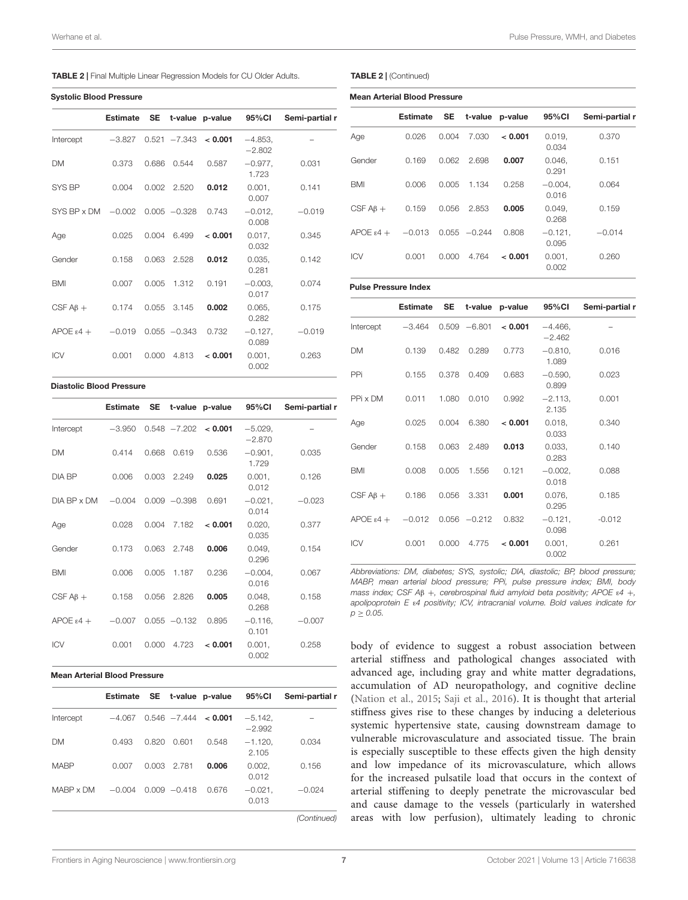| <b>TABLE 2</b>   Final Multiple Linear Regression Models for CU Older Adults. |  |
|-------------------------------------------------------------------------------|--|
|-------------------------------------------------------------------------------|--|

|                                 | <b>Estimate</b> |       |                 | SE t-value p-value 95%Cl |                       | Semi-partial r |
|---------------------------------|-----------------|-------|-----------------|--------------------------|-----------------------|----------------|
| Intercept                       | $-3.827$        |       |                 | $0.521 - 7.343 < 0.001$  | $-4.853,$<br>$-2.802$ |                |
| <b>DM</b>                       | 0.373           | 0.686 | 0.544           | 0.587                    | $-0.977.$<br>1.723    | 0.031          |
| SYS BP                          | 0.004           |       | $0.002$ $2.520$ | 0.012                    | 0.001,<br>0.007       | 0.141          |
| SYS BP x DM -0.002 0.005 -0.328 |                 |       |                 | 0.743                    | $-0.012$ ,<br>0.008   | $-0.019$       |
| Age                             | 0.025           | 0.004 | 6.499           | < 0.001                  | 0.017,<br>0.032       | 0.345          |
| Gender                          | 0.158           | 0.063 | 2.528           | 0.012                    | 0.035,<br>0.281       | 0.142          |
| <b>BMI</b>                      | 0.007           | 0.005 | 1.312           | 0.191                    | $-0.003,$<br>0.017    | 0.074          |
| CSF $AB +$                      | 0.174           | 0.055 | 3.145           | 0.002                    | 0.065.<br>0.282       | 0.175          |
| $APOE \varepsilon 4 +$          | $-0.019$        |       | $0.055 - 0.343$ | 0.732                    | $-0.127$ ,<br>0.089   | $-0.019$       |
| <b>ICV</b>                      | 0.001           | 0.000 | 4.813           | < 0.001                  | 0.001,<br>0.002       | 0.263          |

#### Diastolic Blood Pressure

|                        | Estimate |       |                 | SE t-value p-value 95%CI |                      | Semi-partial r |
|------------------------|----------|-------|-----------------|--------------------------|----------------------|----------------|
| Intercept              | $-3.950$ |       | $0.548 - 7.202$ | < 0.001                  | $-5.029$<br>$-2.870$ |                |
| <b>DM</b>              | 0.414    | 0.668 | 0.619           | 0.536                    | $-0.901,$<br>1.729   | 0.035          |
| DIA BP                 | 0.006    | 0.003 | 2.249           | 0.025                    | $0.001$ ,<br>0.012   | 0.126          |
| DIA BP x DM            | $-0.004$ |       | $0.009 - 0.398$ | 0.691                    | $-0.021$ ,<br>0.014  | $-0.023$       |
| Age                    | 0.028    | 0.004 | 7.182           | < 0.001                  | 0.020,<br>0.035      | 0.377          |
| Gender                 | 0.173    | 0.063 | 2.748           | 0.006                    | 0.049.<br>0.296      | 0.154          |
| <b>BMI</b>             | 0.006    | 0.005 | 1.187           | 0.236                    | $-0.004$ ,<br>0.016  | 0.067          |
| CSF $AB +$             | 0.158    | 0.056 | 2.826           | 0.005                    | 0.048,<br>0.268      | 0.158          |
| $APOE \varepsilon 4 +$ | $-0.007$ |       | $0.055 - 0.132$ | 0.895                    | $-0.116$ ,<br>0.101  | $-0.007$       |
| <b>ICV</b>             | 0.001    | 0.000 | 4.723           | < 0.001                  | $0.001$ ,<br>0.002   | 0.258          |

#### Mean Arterial Blood Pressure

|             | Estimate |       |                 | SE t-value p-value         | 95%CI                 | Semi-partial r |
|-------------|----------|-------|-----------------|----------------------------|-----------------------|----------------|
| Intercept   | $-4.067$ |       |                 | $0.546 - 7.444 \leq 0.001$ | $-5.142.$<br>$-2.992$ |                |
| <b>DM</b>   | 0.493    | 0.820 | 0.601           | 0.548                      | $-1.120.$<br>2.105    | 0.034          |
| <b>MARP</b> | 0.007    |       | 0.003 2.781     | 0.006                      | 0.002,<br>0.012       | 0.156          |
| MARP x DM   | $-0.004$ |       | $0.009 - 0.418$ | 0.676                      | $-0.021.$<br>0.013    | $-0.024$       |

(Continued)

#### <span id="page-6-0"></span>TABLE 2 | (Continued)

| <b>Mean Arterial Blood Pressure</b> |                 |           |          |         |                    |                |  |  |  |
|-------------------------------------|-----------------|-----------|----------|---------|--------------------|----------------|--|--|--|
|                                     | <b>Estimate</b> | <b>SE</b> | t-value  | p-value | 95%CI              | Semi-partial r |  |  |  |
| Age                                 | 0.026           | 0.004     | 7.030    | < 0.001 | 0.019.<br>0.034    | 0.370          |  |  |  |
| Gender                              | 0.169           | 0.062     | 2.698    | 0.007   | 0.046,<br>0.291    | 0.151          |  |  |  |
| <b>BMI</b>                          | 0.006           | 0.005     | 1.134    | 0.258   | $-0.004.$<br>0.016 | 0.064          |  |  |  |
| CSF $AB +$                          | 0.159           | 0.056     | 2.853    | 0.005   | 0.049.<br>0.268    | 0.159          |  |  |  |
| $APOE \epsilon 4 +$                 | $-0.013$        | 0.055     | $-0.244$ | 0.808   | $-0.121$<br>0.095  | $-0.014$       |  |  |  |
| <b>ICV</b>                          | 0.001           | 0.000     | 4.764    | < 0.001 | 0.001,<br>0.002    | 0.260          |  |  |  |

### Pulse Pressure Index

|                               | <b>Estimate</b> | <b>SE</b> |                 | t-value p-value | 95%CI                 | Semi-partial r |
|-------------------------------|-----------------|-----------|-----------------|-----------------|-----------------------|----------------|
| Intercept                     | $-3.464$        | 0.509     | $-6.801$        | < 0.001         | $-4.466,$<br>$-2.462$ |                |
| <b>DM</b>                     | 0.139           | 0.482     | 0.289           | 0.773           | $-0.810,$<br>1.089    | 0.016          |
| PPi                           | 0.155           | 0.378     | 0.409           | 0.683           | $-0.590,$<br>0.899    | 0.023          |
| PPi x DM                      | 0.011           | 1.080     | 0.010           | 0.992           | $-2.113$<br>2.135     | 0.001          |
| Age                           | 0.025           | 0.004     | 6.380           | < 0.001         | 0.018<br>0.033        | 0.340          |
| Gender                        | 0.158           | 0.063     | 2.489           | 0.013           | 0.033,<br>0.283       | 0.140          |
| <b>BMI</b>                    | 0.008           | 0.005     | 1.556           | 0.121           | $-0.002$ ,<br>0.018   | 0.088          |
| CSF $AB +$                    | 0.186           | 0.056     | 3.331           | 0.001           | 0.076,<br>0.295       | 0.185          |
| $APOE \varepsilon 4 + -0.012$ |                 |           | $0.056 - 0.212$ | 0.832           | $-0.121$ ,<br>0.098   | $-0.012$       |
| <b>ICV</b>                    | 0.001           | 0.000     | 4.775           | < 0.001         | $0.001$ ,<br>0.002    | 0.261          |

Abbreviations: DM, diabetes; SYS, systolic; DIA, diastolic; BP, blood pressure; MABP, mean arterial blood pressure; PPi, pulse pressure index; BMI, body mass index; CSF A $\beta$  +, cerebrospinal fluid amyloid beta positivity; APOE  $\varepsilon$ 4 +, apolipoprotein E ε4 positivity; ICV, intracranial volume. Bold values indicate for  $p \ge 0.05$ .

body of evidence to suggest a robust association between arterial stiffness and pathological changes associated with advanced age, including gray and white matter degradations, accumulation of AD neuropathology, and cognitive decline [\(Nation et al.,](#page-10-24) [2015;](#page-10-24) [Saji et al.,](#page-10-27) [2016\)](#page-10-27). It is thought that arterial stiffness gives rise to these changes by inducing a deleterious systemic hypertensive state, causing downstream damage to vulnerable microvasculature and associated tissue. The brain is especially susceptible to these effects given the high density and low impedance of its microvasculature, which allows for the increased pulsatile load that occurs in the context of arterial stiffening to deeply penetrate the microvascular bed and cause damage to the vessels (particularly in watershed areas with low perfusion), ultimately leading to chronic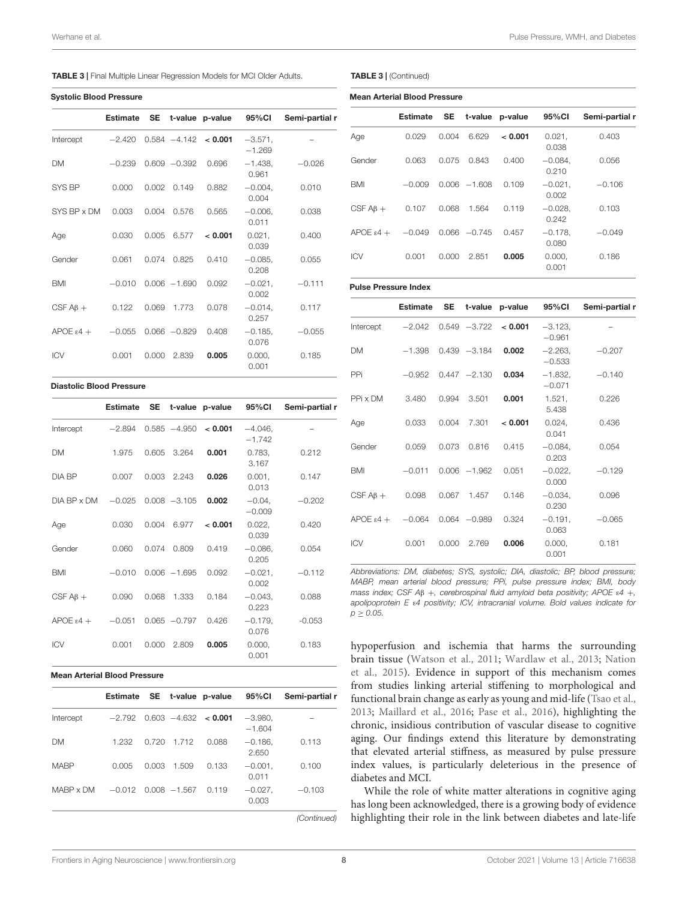#### TABLE 3 | Final Multiple Linear Regression Models for MCI Older Adults.

|  |  | <b>Systolic Blood Pressure</b> |
|--|--|--------------------------------|
|--|--|--------------------------------|

|                        | <b>Estimate</b> | <b>SE</b> |                 | t-value p-value        | 95%CI                  | Semi-partial r |
|------------------------|-----------------|-----------|-----------------|------------------------|------------------------|----------------|
| Intercept              | $-2.420$        |           |                 | $0.584 -4.142 < 0.001$ | $-3.571$ ,<br>$-1.269$ |                |
| <b>DM</b>              | $-0.239$        |           | $0.609 - 0.392$ | 0.696                  | $-1.438.$<br>0.961     | $-0.026$       |
| SYS BP                 | 0.000           | 0.002     | 0.149           | 0.882                  | $-0.004$ ,<br>0.004    | 0.010          |
| SYS BP x DM            | 0.003           | 0.004     | 0.576           | 0.565                  | $-0.006$ ,<br>0.011    | 0.038          |
| Age                    | 0.030           | 0.005     | 6.577           | < 0.001                | 0.021,<br>0.039        | 0.400          |
| Gender                 | 0.061           | 0.074     | 0.825           | 0.410                  | $-0.085,$<br>0.208     | 0.055          |
| <b>BMI</b>             | $-0.010$        |           | $0.006 - 1.690$ | 0.092                  | $-0.021$ ,<br>0.002    | $-0.111$       |
| CSF $AB +$             | 0.122           | 0.069     | 1.773           | 0.078                  | $-0.014$ ,<br>0.257    | 0.117          |
| $APOE \varepsilon 4 +$ | $-0.055$        |           | $0.066 - 0.829$ | 0.408                  | $-0.185$ ,<br>0.076    | $-0.055$       |
| <b>ICV</b>             | 0.001           | 0.000     | 2.839           | 0.005                  | 0.000,<br>0.001        | 0.185          |

#### Diastolic Blood Pressure

|                        |          |       |                 | Estimate SE t-value p-value 95%CI |                       | Semi-partial r |
|------------------------|----------|-------|-----------------|-----------------------------------|-----------------------|----------------|
| Intercept              | $-2.894$ |       | $0.585 - 4.950$ | < 0.001                           | $-4.046,$<br>$-1.742$ |                |
| <b>DM</b>              | 1.975    | 0.605 | 3.264           | 0.001                             | 0.783,<br>3.167       | 0.212          |
| DIA BP                 | 0.007    | 0.003 | 2.243           | 0.026                             | $0.001$ ,<br>0.013    | 0.147          |
| DIA BP x DM            | $-0.025$ |       | $0.008 - 3.105$ | 0.002                             | $-0.04$ ,<br>$-0.009$ | $-0.202$       |
| Age                    | 0.030    | 0.004 | 6.977           | < 0.001                           | 0.022,<br>0.039       | 0.420          |
| Gender                 | 0.060    | 0.074 | 0.809           | 0.419                             | $-0.086$ ,<br>0.205   | 0.054          |
| <b>BMI</b>             | $-0.010$ |       | $0.006 - 1.695$ | 0.092                             | $-0.021,$<br>0.002    | $-0.112$       |
| $CSF AB +$             | 0.090    | 0.068 | 1.333           | 0.184                             | $-0.043,$<br>0.223    | 0.088          |
| $APOE \varepsilon 4 +$ | $-0.051$ |       | $0.065 -0.797$  | 0.426                             | $-0.179$<br>0.076     | $-0.053$       |
| <b>ICV</b>             | 0.001    | 0.000 | 2.809           | 0.005                             | 0.000,<br>0.001       | 0.183          |

#### Mean Arterial Blood Pressure

|             |          |       |                 | Estimate SE t-value p-value 95%CI |                       | Semi-partial r |
|-------------|----------|-------|-----------------|-----------------------------------|-----------------------|----------------|
| Intercept   | $-2.792$ |       |                 | $0.603 - 4.632 < 0.001$           | $-3.980.$<br>$-1.604$ |                |
| <b>DM</b>   | 1.232    |       | 0.720 1.712     | 0.088                             | $-0.186.$<br>2.650    | 0.113          |
| <b>MARP</b> | 0.005    | 0.003 | 1.509           | 0.133                             | $-0.001.$<br>0.011    | 0.100          |
| MARP x DM   | $-0.012$ |       | $0.008 - 1.567$ | 0.119                             | $-0.027,$<br>0.003    | $-0.103$       |

(Continued)

<span id="page-7-0"></span>

|  | <b>TABLE 3</b>   (Continued) |
|--|------------------------------|
|--|------------------------------|

| <b>Mean Arterial Blood Pressure</b> |                 |       |                 |                 |                     |                |  |  |
|-------------------------------------|-----------------|-------|-----------------|-----------------|---------------------|----------------|--|--|
|                                     | <b>Estimate</b> | SE    |                 | t-value p-value | 95%CI               | Semi-partial r |  |  |
| Age                                 | 0.029           | 0.004 | 6.629           | < 0.001         | 0.021,<br>0.038     | 0.403          |  |  |
| Gender                              | 0.063           | 0.075 | 0.843           | 0.400           | $-0.084.$<br>0.210  | 0.056          |  |  |
| <b>BMI</b>                          | $-0.009$        |       | $0.006 - 1.608$ | 0.109           | $-0.021$ ,<br>0.002 | $-0.106$       |  |  |
| CSF $AB +$                          | 0.107           | 0.068 | 1.564           | 0.119           | $-0.028.$<br>0.242  | 0.103          |  |  |
| $APOE \epsilon 4 +$                 | $-0.049$        |       | $0.066 - 0.745$ | 0.457           | $-0.178.$<br>0.080  | $-0.049$       |  |  |
| <b>ICV</b>                          | 0.001           | 0.000 | 2.851           | 0.005           | 0.000,<br>0.001     | 0.186          |  |  |

#### Pulse Pressure Index

|                               | <b>Estimate</b> | <b>SE</b> |                 | t-value p-value         | 95%CI                 | Semi-partial r |
|-------------------------------|-----------------|-----------|-----------------|-------------------------|-----------------------|----------------|
| Intercept                     | $-2.042$        |           |                 | $0.549 - 3.722 < 0.001$ | $-3.123$<br>$-0.961$  |                |
| <b>DM</b>                     | $-1.398$        |           | $0.439 - 3.184$ | 0.002                   | $-2.263$<br>$-0.533$  | $-0.207$       |
| PPi                           | $-0.952$        |           | $0.447 - 2.130$ | 0.034                   | $-1.832,$<br>$-0.071$ | $-0.140$       |
| PPi x DM                      | 3.480           | 0.994     | 3.501           | 0.001                   | 1.521,<br>5.438       | 0.226          |
| Age                           | 0.033           | 0.004     | 7.301           | < 0.001                 | 0.024,<br>0.041       | 0.436          |
| Gender                        | 0.059           | 0.073     | 0.816           | 0.415                   | $-0.084$<br>0.203     | 0.054          |
| <b>BMI</b>                    | $-0.011$        |           | $0.006 - 1.962$ | 0.051                   | $-0.022$<br>0.000     | $-0.129$       |
| CSF $AB +$                    | 0.098           | 0.067     | 1.457           | 0.146                   | $-0.034$ ,<br>0.230   | 0.096          |
| $APOE \varepsilon 4 + -0.064$ |                 |           | $0.064 - 0.989$ | 0.324                   | $-0.191$ .<br>0.063   | $-0.065$       |
| <b>ICV</b>                    | 0.001           | 0.000     | 2.769           | 0.006                   | 0.000,<br>0.001       | 0.181          |

Abbreviations: DM, diabetes; SYS, systolic; DIA, diastolic; BP, blood pressure; MABP, mean arterial blood pressure; PPi, pulse pressure index; BMI, body mass index; CSF A $\beta$  +, cerebrospinal fluid amyloid beta positivity; APOE  $\varepsilon$ 4 +, apolipoprotein E ε4 positivity; ICV, intracranial volume. Bold values indicate for  $p \ge 0.05$ .

hypoperfusion and ischemia that harms the surrounding brain tissue [\(Watson et al.,](#page-11-9) [2011;](#page-11-9) [Wardlaw et al.,](#page-11-10) [2013;](#page-11-10) [Nation](#page-10-24) [et al.,](#page-10-24) [2015\)](#page-10-24). Evidence in support of this mechanism comes from studies linking arterial stiffening to morphological and functional brain change as early as young and mid-life [\(Tsao et al.,](#page-11-11) [2013;](#page-11-11) [Maillard et al.,](#page-10-28) [2016;](#page-10-28) [Pase et al.,](#page-10-29) [2016\)](#page-10-29), highlighting the chronic, insidious contribution of vascular disease to cognitive aging. Our findings extend this literature by demonstrating that elevated arterial stiffness, as measured by pulse pressure index values, is particularly deleterious in the presence of diabetes and MCI.

While the role of white matter alterations in cognitive aging has long been acknowledged, there is a growing body of evidence highlighting their role in the link between diabetes and late-life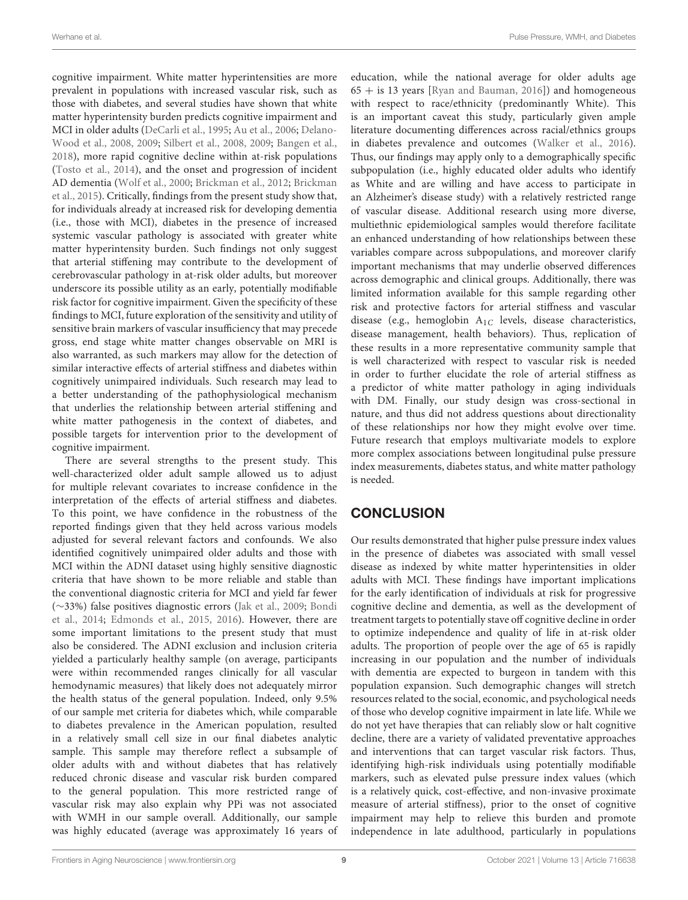cognitive impairment. White matter hyperintensities are more prevalent in populations with increased vascular risk, such as those with diabetes, and several studies have shown that white matter hyperintensity burden predicts cognitive impairment and MCI in older adults [\(DeCarli et al.,](#page-10-30) [1995;](#page-10-30) [Au et al.,](#page-10-31) [2006;](#page-10-31) [Delano-](#page-10-3)[Wood et al.,](#page-10-3) [2008,](#page-10-3) [2009;](#page-10-4) [Silbert et al.,](#page-11-12) [2008,](#page-11-12) [2009;](#page-10-32) [Bangen et al.,](#page-10-7) [2018\)](#page-10-7), more rapid cognitive decline within at-risk populations [\(Tosto et al.,](#page-11-13) [2014\)](#page-11-13), and the onset and progression of incident AD dementia [\(Wolf et al.,](#page-11-14) [2000;](#page-11-14) [Brickman et al.,](#page-10-33) [2012;](#page-10-33) [Brickman](#page-10-34) [et al.,](#page-10-34) [2015\)](#page-10-34). Critically, findings from the present study show that, for individuals already at increased risk for developing dementia (i.e., those with MCI), diabetes in the presence of increased systemic vascular pathology is associated with greater white matter hyperintensity burden. Such findings not only suggest that arterial stiffening may contribute to the development of cerebrovascular pathology in at-risk older adults, but moreover underscore its possible utility as an early, potentially modifiable risk factor for cognitive impairment. Given the specificity of these findings to MCI, future exploration of the sensitivity and utility of sensitive brain markers of vascular insufficiency that may precede gross, end stage white matter changes observable on MRI is also warranted, as such markers may allow for the detection of similar interactive effects of arterial stiffness and diabetes within cognitively unimpaired individuals. Such research may lead to a better understanding of the pathophysiological mechanism that underlies the relationship between arterial stiffening and white matter pathogenesis in the context of diabetes, and possible targets for intervention prior to the development of cognitive impairment.

There are several strengths to the present study. This well-characterized older adult sample allowed us to adjust for multiple relevant covariates to increase confidence in the interpretation of the effects of arterial stiffness and diabetes. To this point, we have confidence in the robustness of the reported findings given that they held across various models adjusted for several relevant factors and confounds. We also identified cognitively unimpaired older adults and those with MCI within the ADNI dataset using highly sensitive diagnostic criteria that have shown to be more reliable and stable than the conventional diagnostic criteria for MCI and yield far fewer (∼33%) false positives diagnostic errors [\(Jak et al.,](#page-10-18) [2009;](#page-10-18) [Bondi](#page-10-19) [et al.,](#page-10-19) [2014;](#page-10-19) [Edmonds et al.,](#page-10-35) [2015,](#page-10-35) [2016\)](#page-10-36). However, there are some important limitations to the present study that must also be considered. The ADNI exclusion and inclusion criteria yielded a particularly healthy sample (on average, participants were within recommended ranges clinically for all vascular hemodynamic measures) that likely does not adequately mirror the health status of the general population. Indeed, only 9.5% of our sample met criteria for diabetes which, while comparable to diabetes prevalence in the American population, resulted in a relatively small cell size in our final diabetes analytic sample. This sample may therefore reflect a subsample of older adults with and without diabetes that has relatively reduced chronic disease and vascular risk burden compared to the general population. This more restricted range of vascular risk may also explain why PPi was not associated with WMH in our sample overall. Additionally, our sample was highly educated (average was approximately 16 years of education, while the national average for older adults age  $65 +$  is 13 years [\[Ryan and Bauman,](#page-10-37) [2016\]](#page-10-37)) and homogeneous with respect to race/ethnicity (predominantly White). This is an important caveat this study, particularly given ample literature documenting differences across racial/ethnics groups in diabetes prevalence and outcomes [\(Walker et al.,](#page-11-15) [2016\)](#page-11-15). Thus, our findings may apply only to a demographically specific subpopulation (i.e., highly educated older adults who identify as White and are willing and have access to participate in an Alzheimer's disease study) with a relatively restricted range of vascular disease. Additional research using more diverse, multiethnic epidemiological samples would therefore facilitate an enhanced understanding of how relationships between these variables compare across subpopulations, and moreover clarify important mechanisms that may underlie observed differences across demographic and clinical groups. Additionally, there was limited information available for this sample regarding other risk and protective factors for arterial stiffness and vascular disease (e.g., hemoglobin  $A_{1C}$  levels, disease characteristics, disease management, health behaviors). Thus, replication of these results in a more representative community sample that is well characterized with respect to vascular risk is needed in order to further elucidate the role of arterial stiffness as a predictor of white matter pathology in aging individuals with DM. Finally, our study design was cross-sectional in nature, and thus did not address questions about directionality of these relationships nor how they might evolve over time. Future research that employs multivariate models to explore more complex associations between longitudinal pulse pressure index measurements, diabetes status, and white matter pathology is needed.

# **CONCLUSION**

Our results demonstrated that higher pulse pressure index values in the presence of diabetes was associated with small vessel disease as indexed by white matter hyperintensities in older adults with MCI. These findings have important implications for the early identification of individuals at risk for progressive cognitive decline and dementia, as well as the development of treatment targets to potentially stave off cognitive decline in order to optimize independence and quality of life in at-risk older adults. The proportion of people over the age of 65 is rapidly increasing in our population and the number of individuals with dementia are expected to burgeon in tandem with this population expansion. Such demographic changes will stretch resources related to the social, economic, and psychological needs of those who develop cognitive impairment in late life. While we do not yet have therapies that can reliably slow or halt cognitive decline, there are a variety of validated preventative approaches and interventions that can target vascular risk factors. Thus, identifying high-risk individuals using potentially modifiable markers, such as elevated pulse pressure index values (which is a relatively quick, cost-effective, and non-invasive proximate measure of arterial stiffness), prior to the onset of cognitive impairment may help to relieve this burden and promote independence in late adulthood, particularly in populations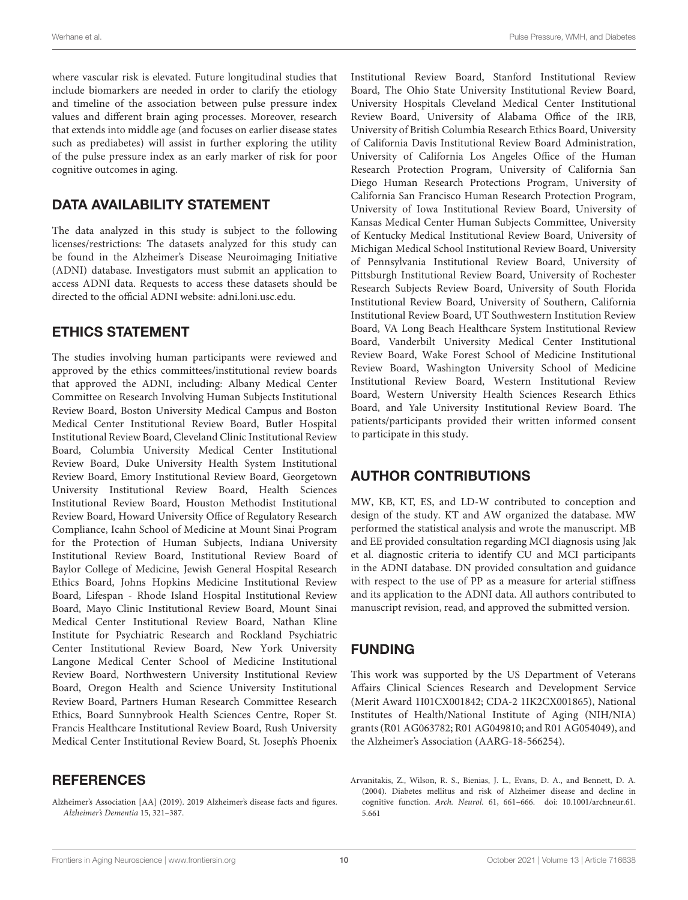where vascular risk is elevated. Future longitudinal studies that include biomarkers are needed in order to clarify the etiology and timeline of the association between pulse pressure index values and different brain aging processes. Moreover, research that extends into middle age (and focuses on earlier disease states such as prediabetes) will assist in further exploring the utility of the pulse pressure index as an early marker of risk for poor cognitive outcomes in aging.

## DATA AVAILABILITY STATEMENT

The data analyzed in this study is subject to the following licenses/restrictions: The datasets analyzed for this study can be found in the Alzheimer's Disease Neuroimaging Initiative (ADNI) database. Investigators must submit an application to access ADNI data. Requests to access these datasets should be directed to the official ADNI website: [adni.loni.usc.edu.](http://adni.loni.usc.edu)

### ETHICS STATEMENT

The studies involving human participants were reviewed and approved by the ethics committees/institutional review boards that approved the ADNI, including: Albany Medical Center Committee on Research Involving Human Subjects Institutional Review Board, Boston University Medical Campus and Boston Medical Center Institutional Review Board, Butler Hospital Institutional Review Board, Cleveland Clinic Institutional Review Board, Columbia University Medical Center Institutional Review Board, Duke University Health System Institutional Review Board, Emory Institutional Review Board, Georgetown University Institutional Review Board, Health Sciences Institutional Review Board, Houston Methodist Institutional Review Board, Howard University Office of Regulatory Research Compliance, Icahn School of Medicine at Mount Sinai Program for the Protection of Human Subjects, Indiana University Institutional Review Board, Institutional Review Board of Baylor College of Medicine, Jewish General Hospital Research Ethics Board, Johns Hopkins Medicine Institutional Review Board, Lifespan - Rhode Island Hospital Institutional Review Board, Mayo Clinic Institutional Review Board, Mount Sinai Medical Center Institutional Review Board, Nathan Kline Institute for Psychiatric Research and Rockland Psychiatric Center Institutional Review Board, New York University Langone Medical Center School of Medicine Institutional Review Board, Northwestern University Institutional Review Board, Oregon Health and Science University Institutional Review Board, Partners Human Research Committee Research Ethics, Board Sunnybrook Health Sciences Centre, Roper St. Francis Healthcare Institutional Review Board, Rush University Medical Center Institutional Review Board, St. Joseph's Phoenix

### **REFERENCES**

<span id="page-9-1"></span>Alzheimer's Association [AA] (2019). 2019 Alzheimer's disease facts and figures. Alzheimer's Dementia 15, 321–387.

Institutional Review Board, Stanford Institutional Review Board, The Ohio State University Institutional Review Board, University Hospitals Cleveland Medical Center Institutional Review Board, University of Alabama Office of the IRB, University of British Columbia Research Ethics Board, University of California Davis Institutional Review Board Administration, University of California Los Angeles Office of the Human Research Protection Program, University of California San Diego Human Research Protections Program, University of California San Francisco Human Research Protection Program, University of Iowa Institutional Review Board, University of Kansas Medical Center Human Subjects Committee, University of Kentucky Medical Institutional Review Board, University of Michigan Medical School Institutional Review Board, University of Pennsylvania Institutional Review Board, University of Pittsburgh Institutional Review Board, University of Rochester Research Subjects Review Board, University of South Florida Institutional Review Board, University of Southern, California Institutional Review Board, UT Southwestern Institution Review Board, VA Long Beach Healthcare System Institutional Review Board, Vanderbilt University Medical Center Institutional Review Board, Wake Forest School of Medicine Institutional Review Board, Washington University School of Medicine Institutional Review Board, Western Institutional Review Board, Western University Health Sciences Research Ethics Board, and Yale University Institutional Review Board. The patients/participants provided their written informed consent to participate in this study.

# AUTHOR CONTRIBUTIONS

MW, KB, KT, ES, and LD-W contributed to conception and design of the study. KT and AW organized the database. MW performed the statistical analysis and wrote the manuscript. MB and EE provided consultation regarding MCI diagnosis using Jak et al. diagnostic criteria to identify CU and MCI participants in the ADNI database. DN provided consultation and guidance with respect to the use of PP as a measure for arterial stiffness and its application to the ADNI data. All authors contributed to manuscript revision, read, and approved the submitted version.

### FUNDING

This work was supported by the US Department of Veterans Affairs Clinical Sciences Research and Development Service (Merit Award 1I01CX001842; CDA-2 1IK2CX001865), National Institutes of Health/National Institute of Aging (NIH/NIA) grants (R01 AG063782; R01 AG049810; and R01 AG054049), and the Alzheimer's Association (AARG-18-566254).

<span id="page-9-0"></span>Arvanitakis, Z., Wilson, R. S., Bienias, J. L., Evans, D. A., and Bennett, D. A. (2004). Diabetes mellitus and risk of Alzheimer disease and decline in cognitive function. Arch. Neurol. 61, 661–666. [doi: 10.1001/archneur.61.](https://doi.org/10.1001/archneur.61.5.661) [5.661](https://doi.org/10.1001/archneur.61.5.661)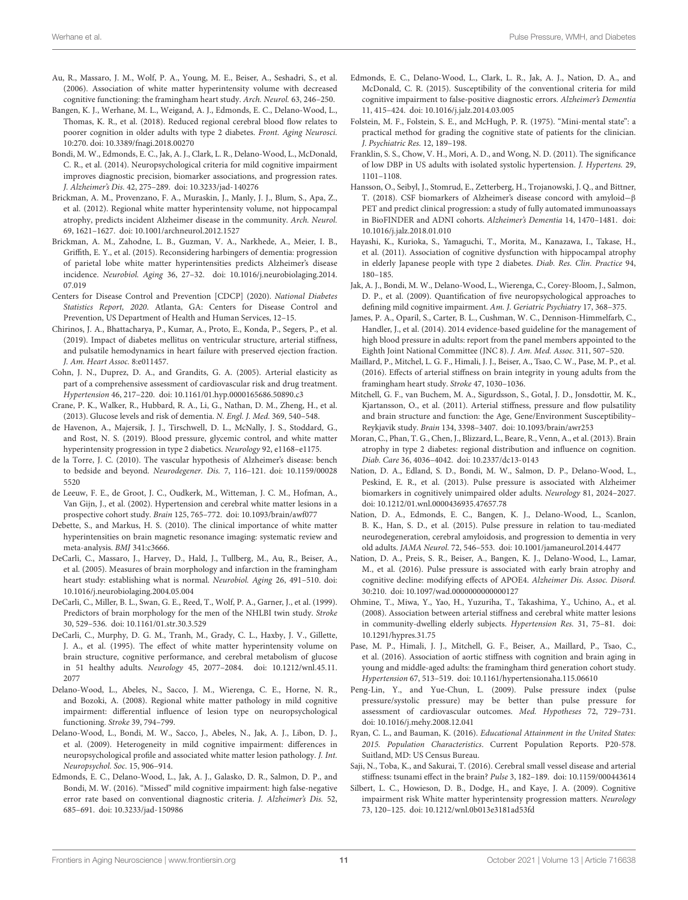- <span id="page-10-31"></span>Au, R., Massaro, J. M., Wolf, P. A., Young, M. E., Beiser, A., Seshadri, S., et al. (2006). Association of white matter hyperintensity volume with decreased cognitive functioning: the framingham heart study. Arch. Neurol. 63, 246–250.
- <span id="page-10-7"></span>Bangen, K. J., Werhane, M. L., Weigand, A. J., Edmonds, E. C., Delano-Wood, L., Thomas, K. R., et al. (2018). Reduced regional cerebral blood flow relates to poorer cognition in older adults with type 2 diabetes. Front. Aging Neurosci. 10:270. [doi: 10.3389/fnagi.2018.00270](https://doi.org/10.3389/fnagi.2018.00270)
- <span id="page-10-19"></span>Bondi, M. W., Edmonds, E. C., Jak, A. J., Clark, L. R., Delano-Wood, L., McDonald, C. R., et al. (2014). Neuropsychological criteria for mild cognitive impairment improves diagnostic precision, biomarker associations, and progression rates. J. Alzheimer's Dis. 42, 275–289. [doi: 10.3233/jad-140276](https://doi.org/10.3233/jad-140276)
- <span id="page-10-33"></span>Brickman, A. M., Provenzano, F. A., Muraskin, J., Manly, J. J., Blum, S., Apa, Z., et al. (2012). Regional white matter hyperintensity volume, not hippocampal atrophy, predicts incident Alzheimer disease in the community. Arch. Neurol. 69, 1621–1627. [doi: 10.1001/archneurol.2012.1527](https://doi.org/10.1001/archneurol.2012.1527)
- <span id="page-10-34"></span>Brickman, A. M., Zahodne, L. B., Guzman, V. A., Narkhede, A., Meier, I. B., Griffith, E. Y., et al. (2015). Reconsidering harbingers of dementia: progression of parietal lobe white matter hyperintensities predicts Alzheimer's disease incidence. Neurobiol. Aging 36, 27–32. [doi: 10.1016/j.neurobiolaging.2014.](https://doi.org/10.1016/j.neurobiolaging.2014.07.019) [07.019](https://doi.org/10.1016/j.neurobiolaging.2014.07.019)
- <span id="page-10-1"></span>Centers for Disease Control and Prevention [CDCP] (2020). National Diabetes Statistics Report, 2020. Atlanta, GA: Centers for Disease Control and Prevention, US Department of Health and Human Services, 12–15.
- <span id="page-10-16"></span>Chirinos, J. A., Bhattacharya, P., Kumar, A., Proto, E., Konda, P., Segers, P., et al. (2019). Impact of diabetes mellitus on ventricular structure, arterial stiffness, and pulsatile hemodynamics in heart failure with preserved ejection fraction. J. Am. Heart Assoc. 8:e011457.
- <span id="page-10-15"></span>Cohn, J. N., Duprez, D. A., and Grandits, G. A. (2005). Arterial elasticity as part of a comprehensive assessment of cardiovascular risk and drug treatment. Hypertension 46, 217–220. [doi: 10.1161/01.hyp.0000165686.50890.c3](https://doi.org/10.1161/01.hyp.0000165686.50890.c3)
- <span id="page-10-0"></span>Crane, P. K., Walker, R., Hubbard, R. A., Li, G., Nathan, D. M., Zheng, H., et al. (2013). Glucose levels and risk of dementia. N. Engl. J. Med. 369, 540–548.
- <span id="page-10-11"></span>de Havenon, A., Majersik, J. J., Tirschwell, D. L., McNally, J. S., Stoddard, G., and Rost, N. S. (2019). Blood pressure, glycemic control, and white matter hyperintensity progression in type 2 diabetics. Neurology 92, e1168–e1175.
- <span id="page-10-26"></span>de la Torre, J. C. (2010). The vascular hypothesis of Alzheimer's disease: bench to bedside and beyond. Neurodegener. Dis. 7, 116–121. [doi: 10.1159/00028](https://doi.org/10.1159/000285520) [5520](https://doi.org/10.1159/000285520)
- <span id="page-10-10"></span>de Leeuw, F. E., de Groot, J. C., Oudkerk, M., Witteman, J. C. M., Hofman, A., Van Gijn, J., et al. (2002). Hypertension and cerebral white matter lesions in a prospective cohort study. Brain 125, 765–772. [doi: 10.1093/brain/awf077](https://doi.org/10.1093/brain/awf077)
- <span id="page-10-5"></span>Debette, S., and Markus, H. S. (2010). The clinical importance of white matter hyperintensities on brain magnetic resonance imaging: systematic review and meta-analysis. BMJ 341:c3666.
- <span id="page-10-2"></span>DeCarli, C., Massaro, J., Harvey, D., Hald, J., Tullberg, M., Au, R., Beiser, A., et al. (2005). Measures of brain morphology and infarction in the framingham heart study: establishing what is normal. Neurobiol. Aging 26, 491–510. [doi:](https://doi.org/10.1016/j.neurobiolaging.2004.05.004) [10.1016/j.neurobiolaging.2004.05.004](https://doi.org/10.1016/j.neurobiolaging.2004.05.004)
- <span id="page-10-20"></span>DeCarli, C., Miller, B. L., Swan, G. E., Reed, T., Wolf, P. A., Garner, J., et al. (1999). Predictors of brain morphology for the men of the NHLBI twin study. Stroke 30, 529–536. [doi: 10.1161/01.str.30.3.529](https://doi.org/10.1161/01.str.30.3.529)
- <span id="page-10-30"></span>DeCarli, C., Murphy, D. G. M., Tranh, M., Grady, C. L., Haxby, J. V., Gillette, J. A., et al. (1995). The effect of white matter hyperintensity volume on brain structure, cognitive performance, and cerebral metabolism of glucose in 51 healthy adults. Neurology 45, 2077–2084. [doi: 10.1212/wnl.45.11.](https://doi.org/10.1212/wnl.45.11.2077) [2077](https://doi.org/10.1212/wnl.45.11.2077)
- <span id="page-10-3"></span>Delano-Wood, L., Abeles, N., Sacco, J. M., Wierenga, C. E., Horne, N. R., and Bozoki, A. (2008). Regional white matter pathology in mild cognitive impairment: differential influence of lesion type on neuropsychological functioning. Stroke 39, 794–799.
- <span id="page-10-4"></span>Delano-Wood, L., Bondi, M. W., Sacco, J., Abeles, N., Jak, A. J., Libon, D. J., et al. (2009). Heterogeneity in mild cognitive impairment: differences in neuropsychological profile and associated white matter lesion pathology. J. Int. Neuropsychol. Soc. 15, 906–914.
- <span id="page-10-36"></span>Edmonds, E. C., Delano-Wood, L., Jak, A. J., Galasko, D. R., Salmon, D. P., and Bondi, M. W. (2016). "Missed" mild cognitive impairment: high false-negative error rate based on conventional diagnostic criteria. J. Alzheimer's Dis. 52, 685–691. [doi: 10.3233/jad-150986](https://doi.org/10.3233/jad-150986)
- <span id="page-10-35"></span>Edmonds, E. C., Delano-Wood, L., Clark, L. R., Jak, A. J., Nation, D. A., and McDonald, C. R. (2015). Susceptibility of the conventional criteria for mild cognitive impairment to false-positive diagnostic errors. Alzheimer's Dementia 11, 415–424. [doi: 10.1016/j.jalz.2014.03.005](https://doi.org/10.1016/j.jalz.2014.03.005)
- <span id="page-10-23"></span>Folstein, M. F., Folstein, S. E., and McHugh, P. R. (1975). "Mini-mental state": a practical method for grading the cognitive state of patients for the clinician. J. Psychiatric Res. 12, 189–198.
- <span id="page-10-25"></span>Franklin, S. S., Chow, V. H., Mori, A. D., and Wong, N. D. (2011). The significance of low DBP in US adults with isolated systolic hypertension. J. Hypertens. 29, 1101–1108.
- <span id="page-10-21"></span>Hansson, O., Seibyl, J., Stomrud, E., Zetterberg, H., Trojanowski, J. Q., and Bittner, T. (2018). CSF biomarkers of Alzheimer's disease concord with amyloid−β PET and predict clinical progression: a study of fully automated immunoassays in BioFINDER and ADNI cohorts. Alzheimer's Dementia 14, 1470–1481. [doi:](https://doi.org/10.1016/j.jalz.2018.01.010) [10.1016/j.jalz.2018.01.010](https://doi.org/10.1016/j.jalz.2018.01.010)
- <span id="page-10-8"></span>Hayashi, K., Kurioka, S., Yamaguchi, T., Morita, M., Kanazawa, I., Takase, H., et al. (2011). Association of cognitive dysfunction with hippocampal atrophy in elderly Japanese people with type 2 diabetes. Diab. Res. Clin. Practice 94, 180–185.
- <span id="page-10-18"></span>Jak, A. J., Bondi, M. W., Delano-Wood, L., Wierenga, C., Corey-Bloom, J., Salmon, D. P., et al. (2009). Quantification of five neuropsychological approaches to defining mild cognitive impairment. Am. J. Geriatric Psychiatry 17, 368–375.
- <span id="page-10-22"></span>James, P. A., Oparil, S., Carter, B. L., Cushman, W. C., Dennison-Himmelfarb, C., Handler, J., et al. (2014). 2014 evidence-based guideline for the management of high blood pressure in adults: report from the panel members appointed to the Eighth Joint National Committee (JNC 8). J. Am. Med. Assoc. 311, 507–520.
- <span id="page-10-28"></span>Maillard, P., Mitchel, L. G. F., Himali, J. J., Beiser, A., Tsao, C. W., Pase, M. P., et al. (2016). Effects of arterial stiffness on brain integrity in young adults from the framingham heart study. Stroke 47, 1030–1036.
- <span id="page-10-13"></span>Mitchell, G. F., van Buchem, M. A., Sigurdsson, S., Gotal, J. D., Jonsdottir, M. K., Kjartansson, O., et al. (2011). Arterial stiffness, pressure and flow pulsatility and brain structure and function: the Age, Gene/Environment Susceptibility– Reykjavik study. Brain 134, 3398–3407. [doi: 10.1093/brain/awr253](https://doi.org/10.1093/brain/awr253)
- <span id="page-10-9"></span>Moran, C., Phan, T. G., Chen, J., Blizzard, L., Beare, R., Venn, A., et al. (2013). Brain atrophy in type 2 diabetes: regional distribution and influence on cognition. Diab. Care 36, 4036–4042. [doi: 10.2337/dc13-0143](https://doi.org/10.2337/dc13-0143)
- <span id="page-10-6"></span>Nation, D. A., Edland, S. D., Bondi, M. W., Salmon, D. P., Delano-Wood, L., Peskind, E. R., et al. (2013). Pulse pressure is associated with Alzheimer biomarkers in cognitively unimpaired older adults. Neurology 81, 2024–2027. [doi: 10.1212/01.wnl.0000436935.47657.78](https://doi.org/10.1212/01.wnl.0000436935.47657.78)
- <span id="page-10-24"></span>Nation, D. A., Edmonds, E. C., Bangen, K. J., Delano-Wood, L., Scanlon, B. K., Han, S. D., et al. (2015). Pulse pressure in relation to tau-mediated neurodegeneration, cerebral amyloidosis, and progression to dementia in very old adults. JAMA Neurol. 72, 546–553. [doi: 10.1001/jamaneurol.2014.4477](https://doi.org/10.1001/jamaneurol.2014.4477)
- <span id="page-10-14"></span>Nation, D. A., Preis, S. R., Beiser, A., Bangen, K. J., Delano-Wood, L., Lamar, M., et al. (2016). Pulse pressure is associated with early brain atrophy and cognitive decline: modifying effects of APOE4. Alzheimer Dis. Assoc. Disord. 30:210. [doi: 10.1097/wad.0000000000000127](https://doi.org/10.1097/wad.0000000000000127)
- <span id="page-10-12"></span>Ohmine, T., Miwa, Y., Yao, H., Yuzuriha, T., Takashima, Y., Uchino, A., et al. (2008). Association between arterial stiffness and cerebral white matter lesions in community-dwelling elderly subjects. Hypertension Res. 31, 75–81. [doi:](https://doi.org/10.1291/hypres.31.75) [10.1291/hypres.31.75](https://doi.org/10.1291/hypres.31.75)
- <span id="page-10-29"></span>Pase, M. P., Himali, J. J., Mitchell, G. F., Beiser, A., Maillard, P., Tsao, C., et al. (2016). Association of aortic stiffness with cognition and brain aging in young and middle-aged adults: the framingham third generation cohort study. Hypertension 67, 513–519. [doi: 10.1161/hypertensionaha.115.06610](https://doi.org/10.1161/hypertensionaha.115.06610)
- <span id="page-10-17"></span>Peng-Lin, Y., and Yue-Chun, L. (2009). Pulse pressure index (pulse pressure/systolic pressure) may be better than pulse pressure for assessment of cardiovascular outcomes. Med. Hypotheses 72, 729–731. [doi: 10.1016/j.mehy.2008.12.041](https://doi.org/10.1016/j.mehy.2008.12.041)
- <span id="page-10-37"></span>Ryan, C. L., and Bauman, K. (2016). Educational Attainment in the United States: 2015. Population Characteristics. Current Population Reports. P20-578. Suitland, MD: US Census Bureau.
- <span id="page-10-27"></span>Saji, N., Toba, K., and Sakurai, T. (2016). Cerebral small vessel disease and arterial stiffness: tsunami effect in the brain? Pulse 3, 182–189. [doi: 10.1159/000443614](https://doi.org/10.1159/000443614)
- <span id="page-10-32"></span>Silbert, L. C., Howieson, D. B., Dodge, H., and Kaye, J. A. (2009). Cognitive impairment risk White matter hyperintensity progression matters. Neurology 73, 120–125. [doi: 10.1212/wnl.0b013e3181ad53fd](https://doi.org/10.1212/wnl.0b013e3181ad53fd)